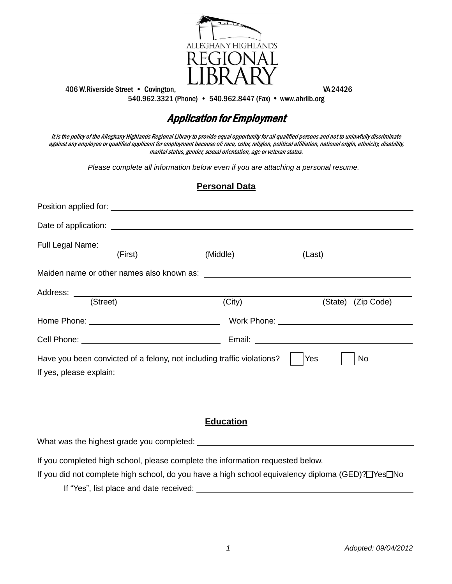

406 W.Riverside Street • Covington, VA24426 540.962.3321 (Phone) • 540.962.8447 (Fax) www.ahrlib.org

# Application for Employment

It is the policy of the Alleghany Highlands Regional Library to provide equal opportunity for all qualified persons and not to unlawfully discriminate against any employee or qualified applicant for employment because of: race, color, religion, political affiliation, national origin, ethnicity, disability, marital status, gender, sexual orientation, age or veteran status.

*Please complete all information below even if you are attaching a personal resume.*

|                         | <b>Personal Data</b>                                                   |                    |
|-------------------------|------------------------------------------------------------------------|--------------------|
|                         |                                                                        |                    |
|                         |                                                                        |                    |
|                         | (Middle)                                                               | (Last)             |
|                         |                                                                        |                    |
| (Street)                | (City)                                                                 | (State) (Zip Code) |
|                         |                                                                        |                    |
|                         |                                                                        |                    |
| If yes, please explain: | Have you been convicted of a felony, not including traffic violations? | Yes<br>No          |

## **Education**

What was the highest grade you completed:

If you completed high school, please complete the information requested below.

If you did not complete high school, do you have a high school equivalency diploma (GED)? TYes No

If "Yes", list place and date received: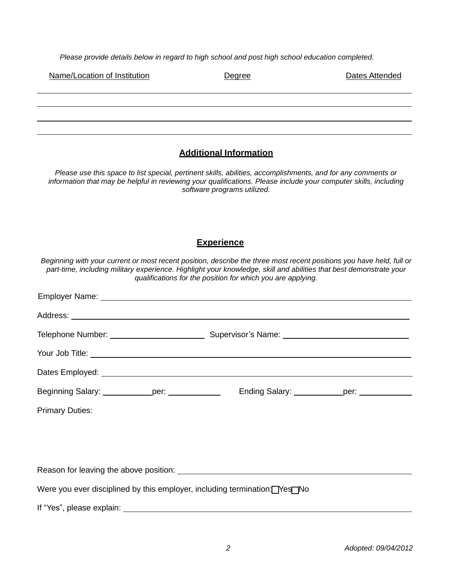*Please provide details below in regard to high school and post high school education completed.*

| Name/Location of Institution | Degree | Dates Attended |
|------------------------------|--------|----------------|
|                              |        |                |
|                              |        |                |

#### **Additional Information**

*Please use this space to list special, pertinent skills, abilities, accomplishments, and for any comments or information that may be helpful in reviewing your qualifications. Please include your computer skills, including software programs utilized.* 

### **Experience**

*Beginning with your current or most recent position, describe the three most recent positions you have held, full or part-time, including military experience. Highlight your knowledge, skill and abilities that best demonstrate your qualifications for the position for which you are applying.*

| Your Job Title: <u>New Your Job Title:</u> New Your Job Title:                                                  |  |
|-----------------------------------------------------------------------------------------------------------------|--|
|                                                                                                                 |  |
|                                                                                                                 |  |
| <b>Primary Duties:</b>                                                                                          |  |
|                                                                                                                 |  |
|                                                                                                                 |  |
|                                                                                                                 |  |
| Were you ever disciplined by this employer, including termination: Yes No                                       |  |
| If "Yes", please explain:<br>$\overline{\phantom{a}}$ and $\overline{\phantom{a}}$ and $\overline{\phantom{a}}$ |  |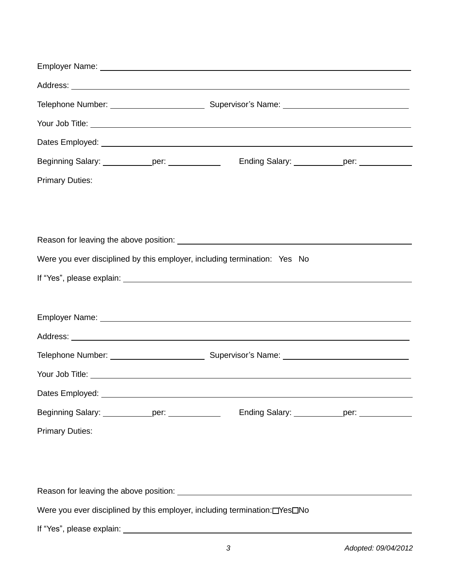| Beginning Salary: ____________per: ____________  | Ending Salary: _____________per: ____________                                                                                                                                                                                        |
|--------------------------------------------------|--------------------------------------------------------------------------------------------------------------------------------------------------------------------------------------------------------------------------------------|
| <b>Primary Duties:</b>                           |                                                                                                                                                                                                                                      |
|                                                  |                                                                                                                                                                                                                                      |
|                                                  |                                                                                                                                                                                                                                      |
|                                                  |                                                                                                                                                                                                                                      |
|                                                  | Were you ever disciplined by this employer, including termination: Yes No                                                                                                                                                            |
|                                                  |                                                                                                                                                                                                                                      |
|                                                  |                                                                                                                                                                                                                                      |
|                                                  |                                                                                                                                                                                                                                      |
|                                                  |                                                                                                                                                                                                                                      |
|                                                  |                                                                                                                                                                                                                                      |
|                                                  | Your Job Title: <u>The Community of the Community of the Community of the Community of the Community of the Community of the Community of the Community of the Community of the Community of the Community of the Community of t</u> |
| Dates Employed: ________                         |                                                                                                                                                                                                                                      |
| Beginning Salary: _____________per: ____________ | Ending Salary: ______________per: _____________                                                                                                                                                                                      |
| <b>Primary Duties:</b>                           |                                                                                                                                                                                                                                      |
|                                                  |                                                                                                                                                                                                                                      |
|                                                  |                                                                                                                                                                                                                                      |
|                                                  |                                                                                                                                                                                                                                      |
|                                                  | Were you ever disciplined by this employer, including termination: [Yes]No                                                                                                                                                           |
| If "Voe" please explain:                         |                                                                                                                                                                                                                                      |